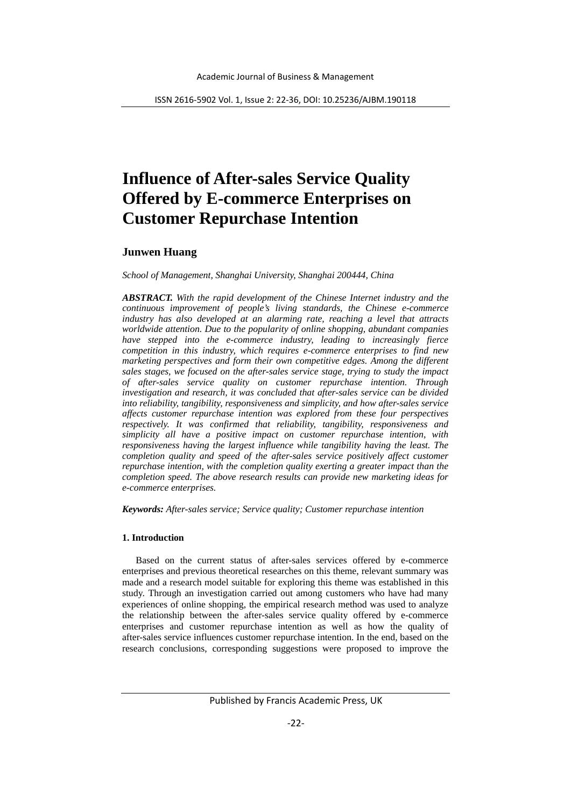# **Influence of After-sales Service Quality Offered by E-commerce Enterprises on Customer Repurchase Intention**

# **Junwen Huang**

*School of Management, Shanghai University, Shanghai 200444, China*

*ABSTRACT. With the rapid development of the Chinese Internet industry and the continuous improvement of people's living standards, the Chinese e-commerce industry has also developed at an alarming rate, reaching a level that attracts worldwide attention. Due to the popularity of online shopping, abundant companies have stepped into the e-commerce industry, leading to increasingly fierce competition in this industry, which requires e-commerce enterprises to find new marketing perspectives and form their own competitive edges. Among the different sales stages, we focused on the after-sales service stage, trying to study the impact of after-sales service quality on customer repurchase intention. Through investigation and research, it was concluded that after-sales service can be divided into reliability, tangibility, responsiveness and simplicity, and how after-sales service affects customer repurchase intention was explored from these four perspectives respectively. It was confirmed that reliability, tangibility, responsiveness and simplicity all have a positive impact on customer repurchase intention, with responsiveness having the largest influence while tangibility having the least. The completion quality and speed of the after-sales service positively affect customer repurchase intention, with the completion quality exerting a greater impact than the completion speed. The above research results can provide new marketing ideas for e-commerce enterprises.*

*Keywords: After-sales service; Service quality; Customer repurchase intention*

# **1. Introduction**

Based on the current status of after-sales services offered by e-commerce enterprises and previous theoretical researches on this theme, relevant summary was made and a research model suitable for exploring this theme was established in this study. Through an investigation carried out among customers who have had many experiences of online shopping, the empirical research method was used to analyze the relationship between the after-sales service quality offered by e-commerce enterprises and customer repurchase intention as well as how the quality of after-sales service influences customer repurchase intention. In the end, based on the research conclusions, corresponding suggestions were proposed to improve the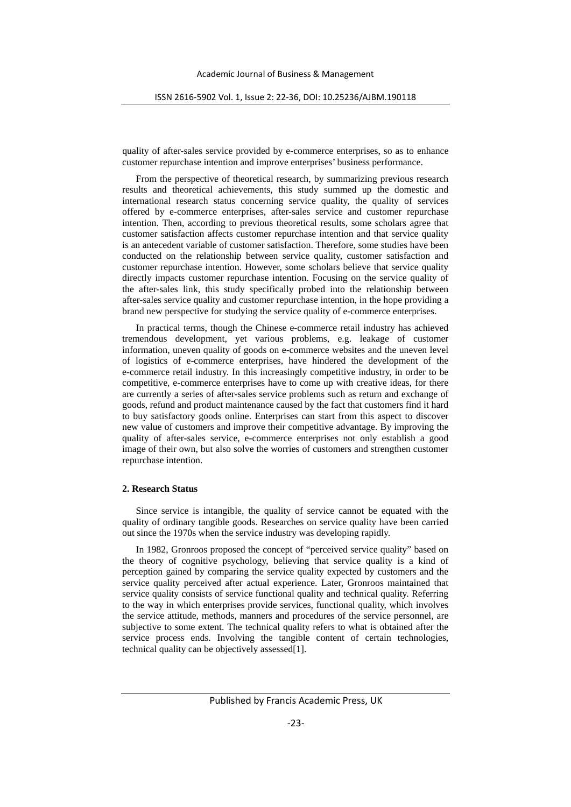quality of after-sales service provided by e-commerce enterprises, so as to enhance customer repurchase intention and improve enterprises' business performance.

From the perspective of theoretical research, by summarizing previous research results and theoretical achievements, this study summed up the domestic and international research status concerning service quality, the quality of services offered by e-commerce enterprises, after-sales service and customer repurchase intention. Then, according to previous theoretical results, some scholars agree that customer satisfaction affects customer repurchase intention and that service quality is an antecedent variable of customer satisfaction. Therefore, some studies have been conducted on the relationship between service quality, customer satisfaction and customer repurchase intention. However, some scholars believe that service quality directly impacts customer repurchase intention. Focusing on the service quality of the after-sales link, this study specifically probed into the relationship between after-sales service quality and customer repurchase intention, in the hope providing a brand new perspective for studying the service quality of e-commerce enterprises.

In practical terms, though the Chinese e-commerce retail industry has achieved tremendous development, yet various problems, e.g. leakage of customer information, uneven quality of goods on e-commerce websites and the uneven level of logistics of e-commerce enterprises, have hindered the development of the e-commerce retail industry. In this increasingly competitive industry, in order to be competitive, e-commerce enterprises have to come up with creative ideas, for there are currently a series of after-sales service problems such as return and exchange of goods, refund and product maintenance caused by the fact that customers find it hard to buy satisfactory goods online. Enterprises can start from this aspect to discover new value of customers and improve their competitive advantage. By improving the quality of after-sales service, e-commerce enterprises not only establish a good image of their own, but also solve the worries of customers and strengthen customer repurchase intention.

# **2. Research Status**

Since service is intangible, the quality of service cannot be equated with the quality of ordinary tangible goods. Researches on service quality have been carried out since the 1970s when the service industry was developing rapidly.

In 1982, Gronroos proposed the concept of "perceived service quality" based on the theory of cognitive psychology, believing that service quality is a kind of perception gained by comparing the service quality expected by customers and the service quality perceived after actual experience. Later, Gronroos maintained that service quality consists of service functional quality and technical quality. Referring to the way in which enterprises provide services, functional quality, which involves the service attitude, methods, manners and procedures of the service personnel, are subjective to some extent. The technical quality refers to what is obtained after the service process ends. Involving the tangible content of certain technologies, technical quality can be objectively assessed[1].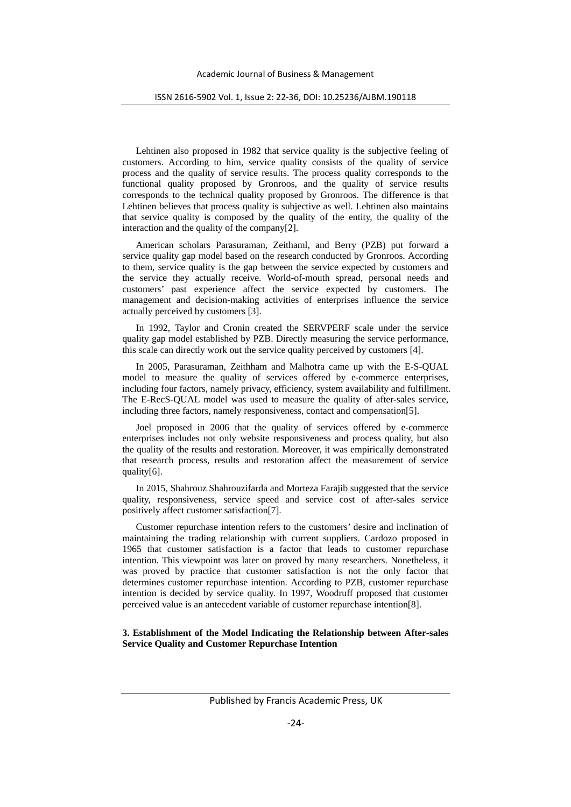Lehtinen also proposed in 1982 that service quality is the subjective feeling of customers. According to him, service quality consists of the quality of service process and the quality of service results. The process quality corresponds to the functional quality proposed by Gronroos, and the quality of service results corresponds to the technical quality proposed by Gronroos. The difference is that Lehtinen believes that process quality is subjective as well. Lehtinen also maintains that service quality is composed by the quality of the entity, the quality of the interaction and the quality of the company[2].

American scholars Parasuraman, Zeithaml, and Berry (PZB) put forward a service quality gap model based on the research conducted by Gronroos. According to them, service quality is the gap between the service expected by customers and the service they actually receive. World-of-mouth spread, personal needs and customers' past experience affect the service expected by customers. The management and decision-making activities of enterprises influence the service actually perceived by customers [3].

In 1992, Taylor and Cronin created the SERVPERF scale under the service quality gap model established by PZB. Directly measuring the service performance, this scale can directly work out the service quality perceived by customers [4].

In 2005, Parasuraman, Zeithham and Malhotra came up with the E-S-QUAL model to measure the quality of services offered by e-commerce enterprises, including four factors, namely privacy, efficiency, system availability and fulfillment. The E-RecS-QUAL model was used to measure the quality of after-sales service, including three factors, namely responsiveness, contact and compensation[5].

Joel proposed in 2006 that the quality of services offered by e-commerce enterprises includes not only website responsiveness and process quality, but also the quality of the results and restoration. Moreover, it was empirically demonstrated that research process, results and restoration affect the measurement of service quality[6].

In 2015, Shahrouz Shahrouzifarda and Morteza Farajib suggested that the service quality, responsiveness, service speed and service cost of after-sales service positively affect customer satisfaction[7].

Customer repurchase intention refers to the customers' desire and inclination of maintaining the trading relationship with current suppliers. Cardozo proposed in 1965 that customer satisfaction is a factor that leads to customer repurchase intention. This viewpoint was later on proved by many researchers. Nonetheless, it was proved by practice that customer satisfaction is not the only factor that determines customer repurchase intention. According to PZB, customer repurchase intention is decided by service quality. In 1997, Woodruff proposed that customer perceived value is an antecedent variable of customer repurchase intention[8].

**3. Establishment of the Model Indicating the Relationship between After-sales Service Quality and Customer Repurchase Intention**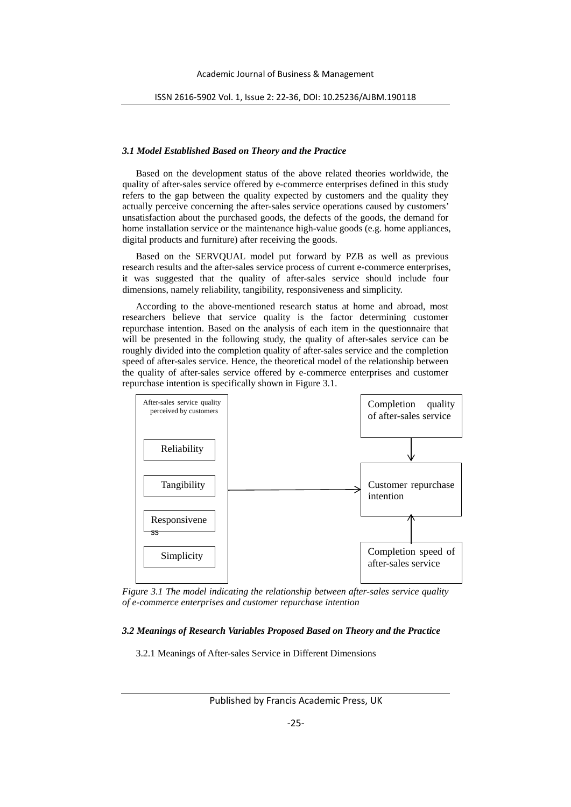# *3.1 Model Established Based on Theory and the Practice*

Based on the development status of the above related theories worldwide, the quality of after-sales service offered by e-commerce enterprises defined in this study refers to the gap between the quality expected by customers and the quality they actually perceive concerning the after-sales service operations caused by customers' unsatisfaction about the purchased goods, the defects of the goods, the demand for home installation service or the maintenance high-value goods (e.g. home appliances, digital products and furniture) after receiving the goods.

Based on the SERVQUAL model put forward by PZB as well as previous research results and the after-sales service process of current e-commerce enterprises, it was suggested that the quality of after-sales service should include four dimensions, namely reliability, tangibility, responsiveness and simplicity.

According to the above-mentioned research status at home and abroad, most researchers believe that service quality is the factor determining customer repurchase intention. Based on the analysis of each item in the questionnaire that will be presented in the following study, the quality of after-sales service can be roughly divided into the completion quality of after-sales service and the completion speed of after-sales service. Hence, the theoretical model of the relationship between the quality of after-sales service offered by e-commerce enterprises and customer repurchase intention is specifically shown in Figure 3.1.



*Figure 3.1 The model indicating the relationship between after-sales service quality of e-commerce enterprises and customer repurchase intention*

#### *3.2 Meanings of Research Variables Proposed Based on Theory and the Practice*

3.2.1 Meanings of After-sales Service in Different Dimensions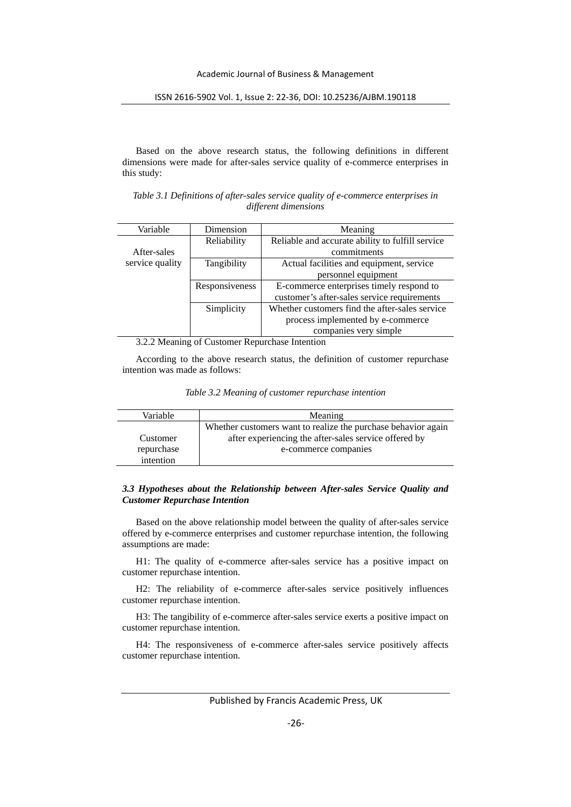Based on the above research status, the following definitions in different dimensions were made for after-sales service quality of e-commerce enterprises in this study:

*Table 3.1 Definitions of after-sales service quality of e-commerce enterprises in different dimensions*

| Variable        | Dimension                   | Meaning                                          |
|-----------------|-----------------------------|--------------------------------------------------|
|                 | Reliability                 | Reliable and accurate ability to fulfill service |
| After-sales     |                             | commitments                                      |
| service quality | Tangibility                 | Actual facilities and equipment, service         |
|                 |                             | personnel equipment                              |
|                 | Responsiveness              | E-commerce enterprises timely respond to         |
|                 |                             | customer's after-sales service requirements      |
|                 | Simplicity                  | Whether customers find the after-sales service   |
|                 |                             | process implemented by e-commerce                |
|                 |                             | companies very simple                            |
| . <i>.</i>      | $\sqrt{ }$<br>$\sim$ $\sim$ | $\mathbf{r}$ , $\mathbf{r}$                      |

3.2.2 Meaning of Customer Repurchase Intention

According to the above research status, the definition of customer repurchase intention was made as follows:

*Table 3.2 Meaning of customer repurchase intention*

| Variable   | Meaning                                                       |
|------------|---------------------------------------------------------------|
|            | Whether customers want to realize the purchase behavior again |
| Customer   | after experiencing the after-sales service offered by         |
| repurchase | e-commerce companies                                          |
| intention  |                                                               |

# *3.3 Hypotheses about the Relationship between After-sales Service Quality and Customer Repurchase Intention*

Based on the above relationship model between the quality of after-sales service offered by e-commerce enterprises and customer repurchase intention, the following assumptions are made:

H1: The quality of e-commerce after-sales service has a positive impact on customer repurchase intention.

H2: The reliability of e-commerce after-sales service positively influences customer repurchase intention.

H3: The tangibility of e-commerce after-sales service exerts a positive impact on customer repurchase intention.

H4: The responsiveness of e-commerce after-sales service positively affects customer repurchase intention.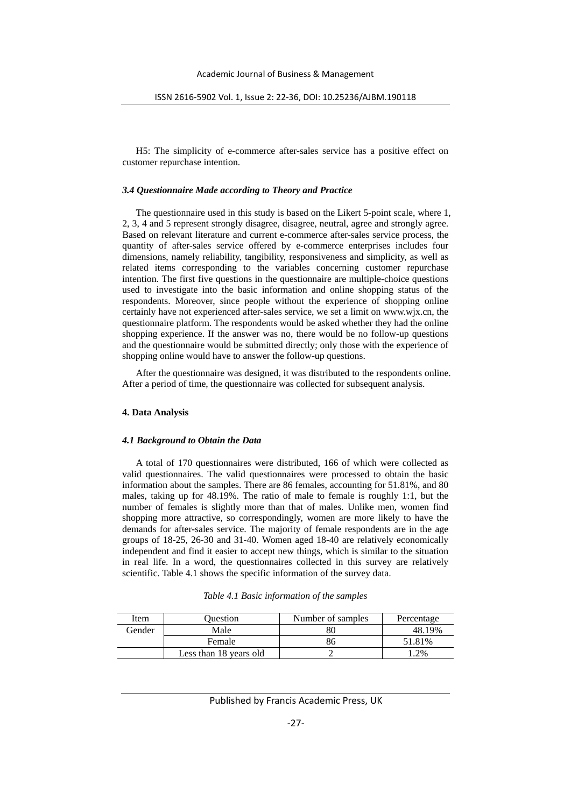H5: The simplicity of e-commerce after-sales service has a positive effect on customer repurchase intention.

## *3.4 Questionnaire Made according to Theory and Practice*

The questionnaire used in this study is based on the Likert 5-point scale, where 1, 2, 3, 4 and 5 represent strongly disagree, disagree, neutral, agree and strongly agree. Based on relevant literature and current e-commerce after-sales service process, the quantity of after-sales service offered by e-commerce enterprises includes four dimensions, namely reliability, tangibility, responsiveness and simplicity, as well as related items corresponding to the variables concerning customer repurchase intention. The first five questions in the questionnaire are multiple-choice questions used to investigate into the basic information and online shopping status of the respondents. Moreover, since people without the experience of shopping online certainly have not experienced after-sales service, we set a limit on www.wjx.cn, the questionnaire platform. The respondents would be asked whether they had the online shopping experience. If the answer was no, there would be no follow-up questions and the questionnaire would be submitted directly; only those with the experience of shopping online would have to answer the follow-up questions.

After the questionnaire was designed, it was distributed to the respondents online. After a period of time, the questionnaire was collected for subsequent analysis.

## **4. Data Analysis**

## *4.1 Background to Obtain the Data*

A total of 170 questionnaires were distributed, 166 of which were collected as valid questionnaires. The valid questionnaires were processed to obtain the basic information about the samples. There are 86 females, accounting for 51.81%, and 80 males, taking up for 48.19%. The ratio of male to female is roughly 1:1, but the number of females is slightly more than that of males. Unlike men, women find shopping more attractive, so correspondingly, women are more likely to have the demands for after-sales service. The majority of female respondents are in the age groups of 18-25, 26-30 and 31-40. Women aged 18-40 are relatively economically independent and find it easier to accept new things, which is similar to the situation in real life. In a word, the questionnaires collected in this survey are relatively scientific. Table 4.1 shows the specific information of the survey data.

| Table 4.1 Basic information of the samples |  |  |  |
|--------------------------------------------|--|--|--|
|                                            |  |  |  |

| Item   | Ouestion               | Number of samples | Percentage |
|--------|------------------------|-------------------|------------|
| Gender | Male                   |                   | 48.19%     |
|        | Female                 | 86                | 51.81%     |
|        | Less than 18 years old |                   | $1.2\%$    |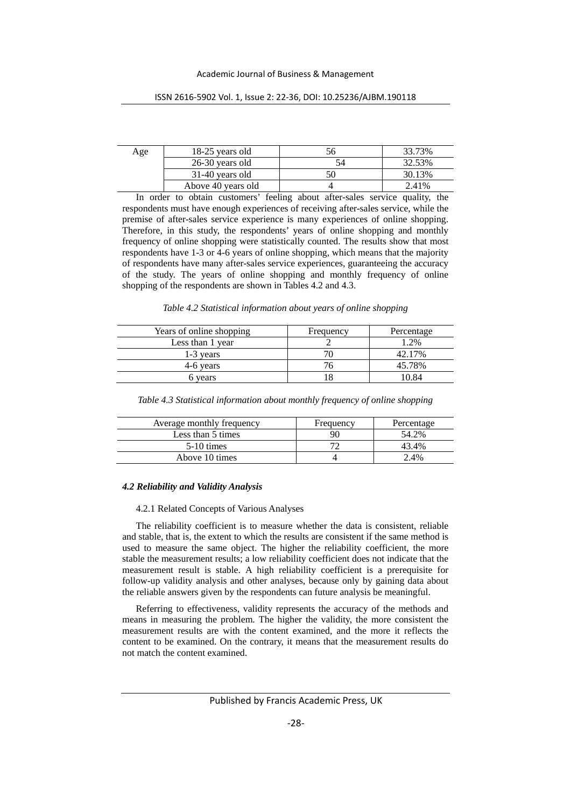| Age | 18-25 years old    | 33.73% |
|-----|--------------------|--------|
|     | 26-30 years old    | 32.53% |
|     | 31-40 years old    | 30.13% |
|     | Above 40 years old | 2.41%  |

ISSN 2616-5902 Vol. 1, Issue 2: 22-36, DOI: 10.25236/AJBM.190118

In order to obtain customers' feeling about after-sales service quality, the respondents must have enough experiences of receiving after-sales service, while the premise of after-sales service experience is many experiences of online shopping. Therefore, in this study, the respondents' years of online shopping and monthly frequency of online shopping were statistically counted. The results show that most respondents have 1-3 or 4-6 years of online shopping, which means that the majority of respondents have many after-sales service experiences, guaranteeing the accuracy of the study. The years of online shopping and monthly frequency of online shopping of the respondents are shown in Tables 4.2 and 4.3.

|  |  | Table 4.2 Statistical information about years of online shopping |  |  |  |
|--|--|------------------------------------------------------------------|--|--|--|
|  |  |                                                                  |  |  |  |

| Years of online shopping | Frequency | Percentage |
|--------------------------|-----------|------------|
| Less than 1 year         |           | 1.2%       |
| 1-3 years                |           | 42.17%     |
| 4-6 years                |           | 45.78%     |
| 6 vears                  |           | 10.84      |

|  | Table 4.3 Statistical information about monthly frequency of online shopping |  |  |  |  |  |
|--|------------------------------------------------------------------------------|--|--|--|--|--|
|  |                                                                              |  |  |  |  |  |

| Average monthly frequency | Frequency | Percentage |
|---------------------------|-----------|------------|
| Less than 5 times         | 90        | 54.2%      |
| $5-10$ times              |           | 43.4%      |
| Above 10 times            |           | $2.4\%$    |

# *4.2 Reliability and Validity Analysis*

# 4.2.1 Related Concepts of Various Analyses

The reliability coefficient is to measure whether the data is consistent, reliable and stable, that is, the extent to which the results are consistent if the same method is used to measure the same object. The higher the reliability coefficient, the more stable the measurement results; a low reliability coefficient does not indicate that the measurement result is stable. A high reliability coefficient is a prerequisite for follow-up validity analysis and other analyses, because only by gaining data about the reliable answers given by the respondents can future analysis be meaningful.

Referring to effectiveness, validity represents the accuracy of the methods and means in measuring the problem. The higher the validity, the more consistent the measurement results are with the content examined, and the more it reflects the content to be examined. On the contrary, it means that the measurement results do not match the content examined.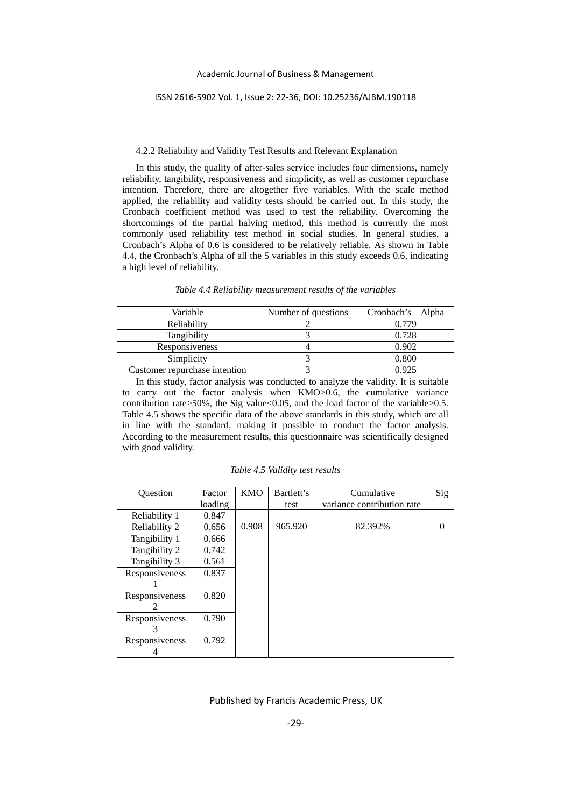#### 4.2.2 Reliability and Validity Test Results and Relevant Explanation

In this study, the quality of after-sales service includes four dimensions, namely reliability, tangibility, responsiveness and simplicity, as well as customer repurchase intention. Therefore, there are altogether five variables. With the scale method applied, the reliability and validity tests should be carried out. In this study, the Cronbach coefficient method was used to test the reliability. Overcoming the shortcomings of the partial halving method, this method is currently the most commonly used reliability test method in social studies. In general studies, a Cronbach's Alpha of 0.6 is considered to be relatively reliable. As shown in Table 4.4, the Cronbach's Alpha of all the 5 variables in this study exceeds 0.6, indicating a high level of reliability.

| Variable                      | Number of questions | Cronbach's Alpha |
|-------------------------------|---------------------|------------------|
| Reliability                   |                     | 0.779            |
| Tangibility                   |                     | 0.728            |
| Responsiveness                |                     | 0.902            |
| Simplicity                    |                     | 0.800            |
| Customer repurchase intention |                     | 0.925            |

*Table 4.4 Reliability measurement results of the variables*

In this study, factor analysis was conducted to analyze the validity. It is suitable to carry out the factor analysis when KMO>0.6, the cumulative variance contribution rate>50%, the Sig value<0.05, and the load factor of the variable>0.5. Table 4.5 shows the specific data of the above standards in this study, which are all in line with the standard, making it possible to conduct the factor analysis. According to the measurement results, this questionnaire was scientifically designed with good validity.

| Question       | Factor  | <b>KMO</b> | Bartlett's | Cumulative                 | Sig      |
|----------------|---------|------------|------------|----------------------------|----------|
|                | loading |            | test       | variance contribution rate |          |
| Reliability 1  | 0.847   |            |            |                            |          |
| Reliability 2  | 0.656   | 0.908      | 965.920    | 82.392%                    | $\theta$ |
| Tangibility 1  | 0.666   |            |            |                            |          |
| Tangibility 2  | 0.742   |            |            |                            |          |
| Tangibility 3  | 0.561   |            |            |                            |          |
| Responsiveness | 0.837   |            |            |                            |          |
|                |         |            |            |                            |          |
| Responsiveness | 0.820   |            |            |                            |          |
|                |         |            |            |                            |          |
| Responsiveness | 0.790   |            |            |                            |          |
|                |         |            |            |                            |          |
| Responsiveness | 0.792   |            |            |                            |          |
|                |         |            |            |                            |          |

*Table 4.5 Validity test results*

# Published by Francis Academic Press, UK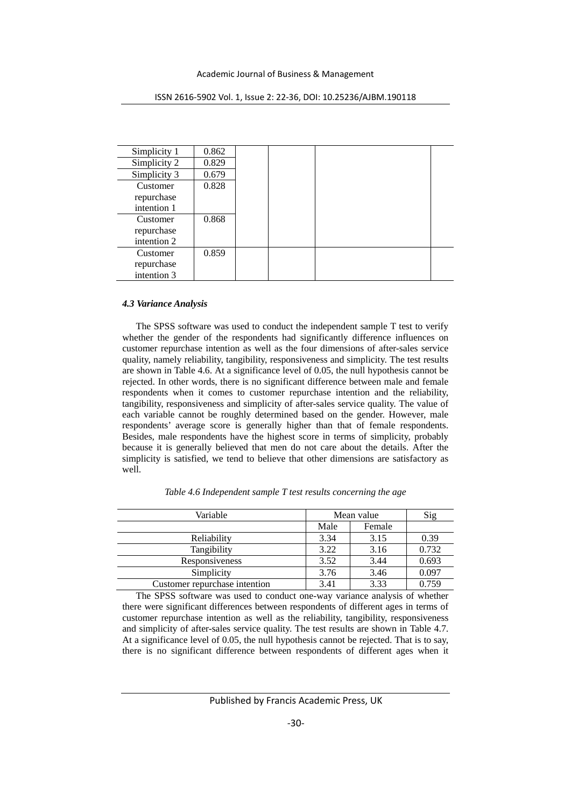| Simplicity 1 | 0.862 |  |  |
|--------------|-------|--|--|
| Simplicity 2 | 0.829 |  |  |
| Simplicity 3 | 0.679 |  |  |
| Customer     | 0.828 |  |  |
| repurchase   |       |  |  |
| intention 1  |       |  |  |
| Customer     | 0.868 |  |  |
| repurchase   |       |  |  |
| intention 2  |       |  |  |
| Customer     | 0.859 |  |  |
| repurchase   |       |  |  |
| intention 3  |       |  |  |

ISSN 2616-5902 Vol. 1, Issue 2: 22-36, DOI: 10.25236/AJBM.190118

# *4.3 Variance Analysis*

The SPSS software was used to conduct the independent sample T test to verify whether the gender of the respondents had significantly difference influences on customer repurchase intention as well as the four dimensions of after-sales service quality, namely reliability, tangibility, responsiveness and simplicity. The test results are shown in Table 4.6. At a significance level of 0.05, the null hypothesis cannot be rejected. In other words, there is no significant difference between male and female respondents when it comes to customer repurchase intention and the reliability, tangibility, responsiveness and simplicity of after-sales service quality. The value of each variable cannot be roughly determined based on the gender. However, male respondents' average score is generally higher than that of female respondents. Besides, male respondents have the highest score in terms of simplicity, probably because it is generally believed that men do not care about the details. After the simplicity is satisfied, we tend to believe that other dimensions are satisfactory as well.

| Variable                      | Mean value     | Sig  |       |
|-------------------------------|----------------|------|-------|
|                               | Male<br>Female |      |       |
| Reliability                   | 3.34           | 3.15 | 0.39  |
| Tangibility                   | 3.22           | 3.16 | 0.732 |
| Responsiveness                | 3.52           | 3.44 | 0.693 |
| Simplicity                    | 3.76           | 3.46 | 0.097 |
| Customer repurchase intention | 3.41           | 3.33 | 0.759 |

*Table 4.6 Independent sample T test results concerning the age*

The SPSS software was used to conduct one-way variance analysis of whether there were significant differences between respondents of different ages in terms of customer repurchase intention as well as the reliability, tangibility, responsiveness and simplicity of after-sales service quality. The test results are shown in Table 4.7. At a significance level of 0.05, the null hypothesis cannot be rejected. That is to say, there is no significant difference between respondents of different ages when it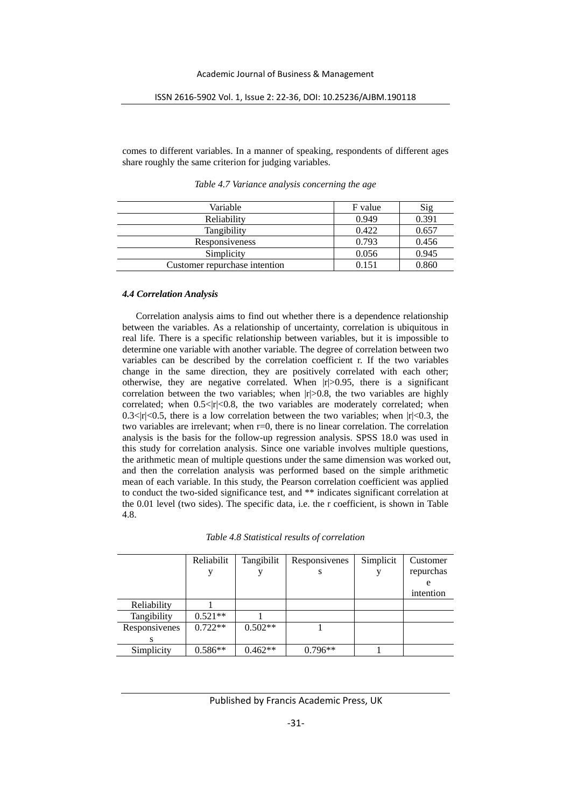comes to different variables. In a manner of speaking, respondents of different ages share roughly the same criterion for judging variables.

| Variable                      | F value | $\mathrm{Sig}$ |
|-------------------------------|---------|----------------|
| Reliability                   | 0.949   | 0.391          |
| Tangibility                   | 0.422   | 0.657          |
| Responsiveness                | 0.793   | 0.456          |
| Simplicity                    | 0.056   | 0.945          |
| Customer repurchase intention | 0.151   | 0.860          |

*Table 4.7 Variance analysis concerning the age*

# *4.4 Correlation Analysis*

Correlation analysis aims to find out whether there is a dependence relationship between the variables. As a relationship of uncertainty, correlation is ubiquitous in real life. There is a specific relationship between variables, but it is impossible to determine one variable with another variable. The degree of correlation between two variables can be described by the correlation coefficient r. If the two variables change in the same direction, they are positively correlated with each other; otherwise, they are negative correlated. When  $|r|>0.95$ , there is a significant correlation between the two variables; when  $|r|>0.8$ , the two variables are highly correlated; when  $0.5 \le |r| \le 0.8$ , the two variables are moderately correlated; when 0.3 $<$ |r| $<$ 0.5, there is a low correlation between the two variables; when  $|r|<$ 0.3, the two variables are irrelevant; when r=0, there is no linear correlation. The correlation analysis is the basis for the follow-up regression analysis. SPSS 18.0 was used in this study for correlation analysis. Since one variable involves multiple questions, the arithmetic mean of multiple questions under the same dimension was worked out, and then the correlation analysis was performed based on the simple arithmetic mean of each variable. In this study, the Pearson correlation coefficient was applied to conduct the two-sided significance test, and \*\* indicates significant correlation at the 0.01 level (two sides). The specific data, i.e. the r coefficient, is shown in Table 4.8.

|               | Reliabilit | Tangibilit | Responsivenes | Simplicit | Customer  |
|---------------|------------|------------|---------------|-----------|-----------|
|               |            |            | S             |           | repurchas |
|               |            |            |               |           | e         |
|               |            |            |               |           | intention |
| Reliability   |            |            |               |           |           |
| Tangibility   | $0.521**$  |            |               |           |           |
| Responsivenes | $0.722**$  | $0.502**$  |               |           |           |
|               |            |            |               |           |           |
| Simplicity    | $0.586**$  | $0.462**$  | $0.796**$     |           |           |

# Published by Francis Academic Press, UK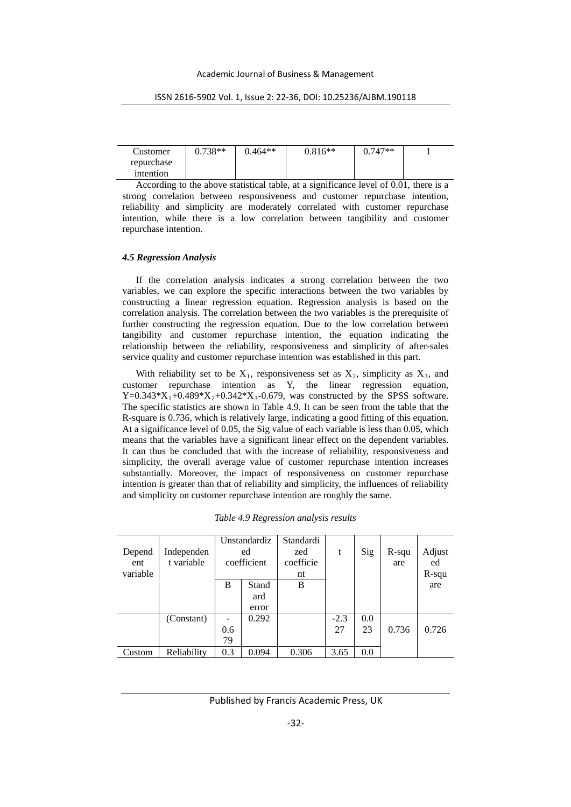#### Academic Journal of Business & Management

# ISSN 2616-5902 Vol. 1, Issue 2: 22-36, DOI: 10.25236/AJBM.190118

| Customer   | $0.738**$ | $0.464**$ | $0.816**$ | $0.747**$ |  |
|------------|-----------|-----------|-----------|-----------|--|
| repurchase |           |           |           |           |  |
| intention  |           |           |           |           |  |

According to the above statistical table, at a significance level of 0.01, there is a strong correlation between responsiveness and customer repurchase intention, reliability and simplicity are moderately correlated with customer repurchase intention, while there is a low correlation between tangibility and customer repurchase intention.

# *4.5 Regression Analysis*

If the correlation analysis indicates a strong correlation between the two variables, we can explore the specific interactions between the two variables by constructing a linear regression equation. Regression analysis is based on the correlation analysis. The correlation between the two variables is the prerequisite of further constructing the regression equation. Due to the low correlation between tangibility and customer repurchase intention, the equation indicating the relationship between the reliability, responsiveness and simplicity of after-sales service quality and customer repurchase intention was established in this part.

With reliability set to be  $X_1$ , responsiveness set as  $X_2$ , simplicity as  $X_3$ , and customer repurchase intention as Y, the linear regression equation, Y=0.343\*X<sub>1</sub>+0.489\*X<sub>2</sub>+0.342\*X<sub>3</sub>-0.679, was constructed by the SPSS software. The specific statistics are shown in Table 4.9. It can be seen from the table that the R-square is 0.736, which is relatively large, indicating a good fitting of this equation. At a significance level of 0.05, the Sig value of each variable is less than 0.05, which means that the variables have a significant linear effect on the dependent variables. It can thus be concluded that with the increase of reliability, responsiveness and simplicity, the overall average value of customer repurchase intention increases substantially. Moreover, the impact of responsiveness on customer repurchase intention is greater than that of reliability and simplicity, the influences of reliability and simplicity on customer repurchase intention are roughly the same.

|          |             |                   | Unstandardiz | Standardi |        |     |          |          |
|----------|-------------|-------------------|--------------|-----------|--------|-----|----------|----------|
| Depend   | Independen  |                   | ed           | zed       | t      | Sig | $R$ -squ | Adjust   |
| ent      | t variable  |                   | coefficient  | coefficie |        |     | are      | ed       |
| variable |             |                   |              | nt        |        |     |          | $R$ -squ |
|          |             | B                 | Stand        | B         |        |     |          | are      |
|          |             |                   | ard          |           |        |     |          |          |
|          |             |                   | error        |           |        |     |          |          |
|          | (Constant)  | $\qquad \qquad -$ | 0.292        |           | $-2.3$ | 0.0 |          |          |
|          |             | 0.6               |              |           | 27     | 23  | 0.736    | 0.726    |
|          |             | 79                |              |           |        |     |          |          |
| Custom   | Reliability | 0.3               | 0.094        | 0.306     | 3.65   | 0.0 |          |          |

*Table 4.9 Regression analysis results*

# Published by Francis Academic Press, UK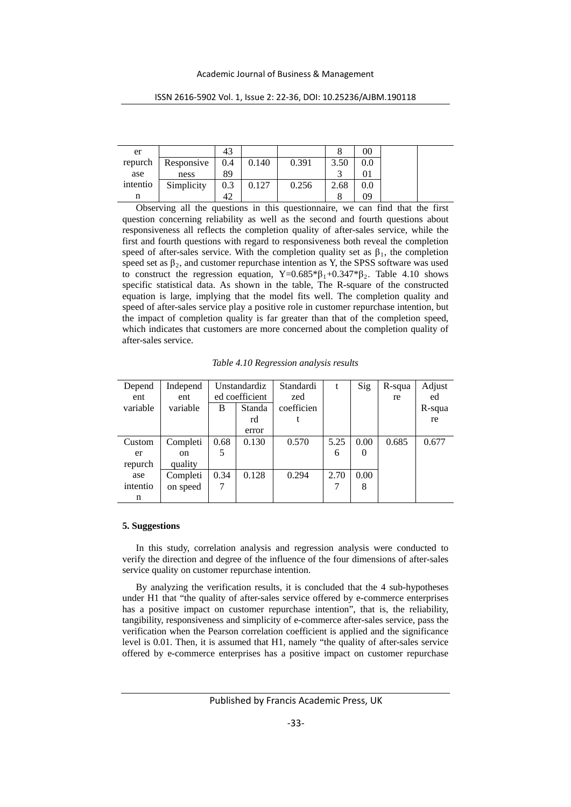| er       |            | 43  |       |       |      | 00      |
|----------|------------|-----|-------|-------|------|---------|
| repurch  | Responsive | 0.4 | 0.140 | 0.391 | 3.50 |         |
| ase      | ness       | 89  |       |       |      |         |
| intentio | Simplicity | 0.3 | 0.127 | 0.256 | 2.68 | $0.0\,$ |
| n        |            | 42  |       |       | O    | 09      |

ISSN 2616-5902 Vol. 1, Issue 2: 22-36, DOI: 10.25236/AJBM.190118

Observing all the questions in this questionnaire, we can find that the first question concerning reliability as well as the second and fourth questions about responsiveness all reflects the completion quality of after-sales service, while the first and fourth questions with regard to responsiveness both reveal the completion speed of after-sales service. With the completion quality set as  $\beta_1$ , the completion speed set as  $\beta_2$ , and customer repurchase intention as Y, the SPSS software was used to construct the regression equation,  $Y=0.685*\beta_1+0.347*\beta_2$ . Table 4.10 shows specific statistical data. As shown in the table, The R-square of the constructed equation is large, implying that the model fits well. The completion quality and speed of after-sales service play a positive role in customer repurchase intention, but the impact of completion quality is far greater than that of the completion speed, which indicates that customers are more concerned about the completion quality of after-sales service.

| Depend<br>ent | Independ<br>ent | Unstandardiz<br>ed coefficient |        | Standardi<br>zed | t    | Sig      | R-squa | Adjust<br>ed |
|---------------|-----------------|--------------------------------|--------|------------------|------|----------|--------|--------------|
|               |                 |                                |        |                  |      |          | re     |              |
| variable      | variable        | в                              | Standa | coefficien       |      |          |        | R-squa       |
|               |                 |                                | rd     |                  |      |          |        | re           |
|               |                 |                                | error  |                  |      |          |        |              |
| Custom        | Completi        | 0.68                           | 0.130  | 0.570            | 5.25 | 0.00     | 0.685  | 0.677        |
| er            | <sub>on</sub>   | 5                              |        |                  | 6    | $\theta$ |        |              |
| repurch       | quality         |                                |        |                  |      |          |        |              |
| ase           | Completi        | 0.34                           | 0.128  | 0.294            | 2.70 | 0.00     |        |              |
| intentio      | on speed        | 7                              |        |                  | 7    | 8        |        |              |
| n             |                 |                                |        |                  |      |          |        |              |

*Table 4.10 Regression analysis results*

#### **5. Suggestions**

In this study, correlation analysis and regression analysis were conducted to verify the direction and degree of the influence of the four dimensions of after-sales service quality on customer repurchase intention.

By analyzing the verification results, it is concluded that the 4 sub-hypotheses under H1 that "the quality of after-sales service offered by e-commerce enterprises has a positive impact on customer repurchase intention", that is, the reliability, tangibility, responsiveness and simplicity of e-commerce after-sales service, pass the verification when the Pearson correlation coefficient is applied and the significance level is 0.01. Then, it is assumed that H1, namely "the quality of after-sales service offered by e-commerce enterprises has a positive impact on customer repurchase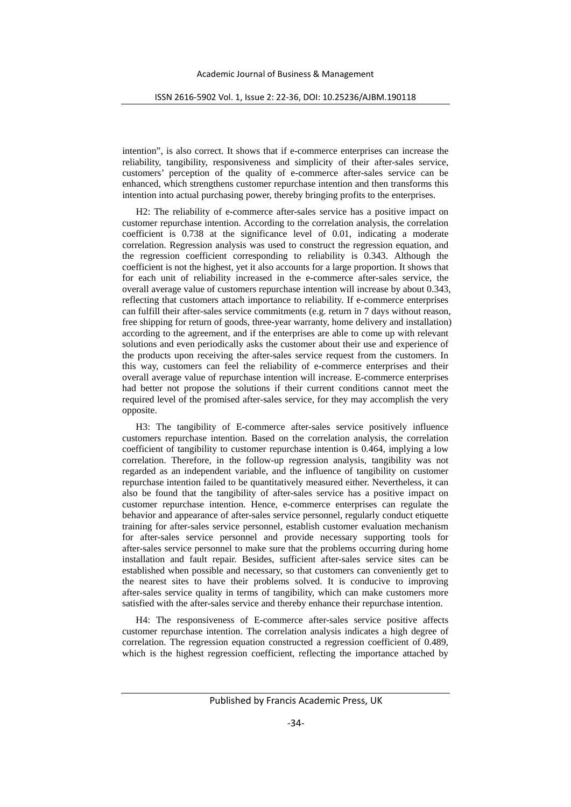intention", is also correct. It shows that if e-commerce enterprises can increase the reliability, tangibility, responsiveness and simplicity of their after-sales service, customers' perception of the quality of e-commerce after-sales service can be enhanced, which strengthens customer repurchase intention and then transforms this intention into actual purchasing power, thereby bringing profits to the enterprises.

H2: The reliability of e-commerce after-sales service has a positive impact on customer repurchase intention. According to the correlation analysis, the correlation coefficient is 0.738 at the significance level of 0.01, indicating a moderate correlation. Regression analysis was used to construct the regression equation, and the regression coefficient corresponding to reliability is 0.343. Although the coefficient is not the highest, yet it also accounts for a large proportion. It shows that for each unit of reliability increased in the e-commerce after-sales service, the overall average value of customers repurchase intention will increase by about 0.343, reflecting that customers attach importance to reliability. If e-commerce enterprises can fulfill their after-sales service commitments (e.g. return in 7 days without reason, free shipping for return of goods, three-year warranty, home delivery and installation) according to the agreement, and if the enterprises are able to come up with relevant solutions and even periodically asks the customer about their use and experience of the products upon receiving the after-sales service request from the customers. In this way, customers can feel the reliability of e-commerce enterprises and their overall average value of repurchase intention will increase. E-commerce enterprises had better not propose the solutions if their current conditions cannot meet the required level of the promised after-sales service, for they may accomplish the very opposite.

H3: The tangibility of E-commerce after-sales service positively influence customers repurchase intention. Based on the correlation analysis, the correlation coefficient of tangibility to customer repurchase intention is 0.464, implying a low correlation. Therefore, in the follow-up regression analysis, tangibility was not regarded as an independent variable, and the influence of tangibility on customer repurchase intention failed to be quantitatively measured either. Nevertheless, it can also be found that the tangibility of after-sales service has a positive impact on customer repurchase intention. Hence, e-commerce enterprises can regulate the behavior and appearance of after-sales service personnel, regularly conduct etiquette training for after-sales service personnel, establish customer evaluation mechanism for after-sales service personnel and provide necessary supporting tools for after-sales service personnel to make sure that the problems occurring during home installation and fault repair. Besides, sufficient after-sales service sites can be established when possible and necessary, so that customers can conveniently get to the nearest sites to have their problems solved. It is conducive to improving after-sales service quality in terms of tangibility, which can make customers more satisfied with the after-sales service and thereby enhance their repurchase intention.

H4: The responsiveness of E-commerce after-sales service positive affects customer repurchase intention. The correlation analysis indicates a high degree of correlation. The regression equation constructed a regression coefficient of 0.489, which is the highest regression coefficient, reflecting the importance attached by

Published by Francis Academic Press, UK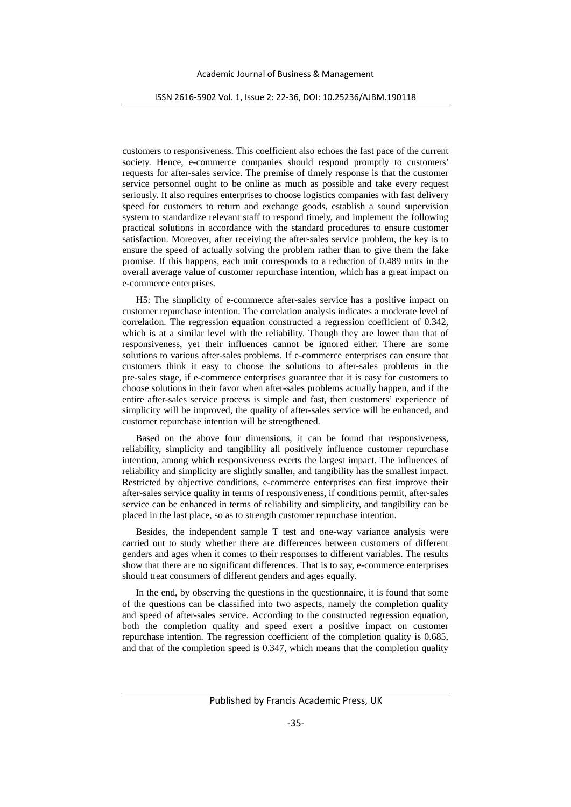customers to responsiveness. This coefficient also echoes the fast pace of the current society. Hence, e-commerce companies should respond promptly to customers' requests for after-sales service. The premise of timely response is that the customer service personnel ought to be online as much as possible and take every request seriously. It also requires enterprises to choose logistics companies with fast delivery speed for customers to return and exchange goods, establish a sound supervision system to standardize relevant staff to respond timely, and implement the following practical solutions in accordance with the standard procedures to ensure customer satisfaction. Moreover, after receiving the after-sales service problem, the key is to ensure the speed of actually solving the problem rather than to give them the fake promise. If this happens, each unit corresponds to a reduction of 0.489 units in the overall average value of customer repurchase intention, which has a great impact on e-commerce enterprises.

H5: The simplicity of e-commerce after-sales service has a positive impact on customer repurchase intention. The correlation analysis indicates a moderate level of correlation. The regression equation constructed a regression coefficient of 0.342, which is at a similar level with the reliability. Though they are lower than that of responsiveness, yet their influences cannot be ignored either. There are some solutions to various after-sales problems. If e-commerce enterprises can ensure that customers think it easy to choose the solutions to after-sales problems in the pre-sales stage, if e-commerce enterprises guarantee that it is easy for customers to choose solutions in their favor when after-sales problems actually happen, and if the entire after-sales service process is simple and fast, then customers' experience of simplicity will be improved, the quality of after-sales service will be enhanced, and customer repurchase intention will be strengthened.

Based on the above four dimensions, it can be found that responsiveness, reliability, simplicity and tangibility all positively influence customer repurchase intention, among which responsiveness exerts the largest impact. The influences of reliability and simplicity are slightly smaller, and tangibility has the smallest impact. Restricted by objective conditions, e-commerce enterprises can first improve their after-sales service quality in terms of responsiveness, if conditions permit, after-sales service can be enhanced in terms of reliability and simplicity, and tangibility can be placed in the last place, so as to strength customer repurchase intention.

Besides, the independent sample T test and one-way variance analysis were carried out to study whether there are differences between customers of different genders and ages when it comes to their responses to different variables. The results show that there are no significant differences. That is to say, e-commerce enterprises should treat consumers of different genders and ages equally.

In the end, by observing the questions in the questionnaire, it is found that some of the questions can be classified into two aspects, namely the completion quality and speed of after-sales service. According to the constructed regression equation, both the completion quality and speed exert a positive impact on customer repurchase intention. The regression coefficient of the completion quality is 0.685, and that of the completion speed is 0.347, which means that the completion quality